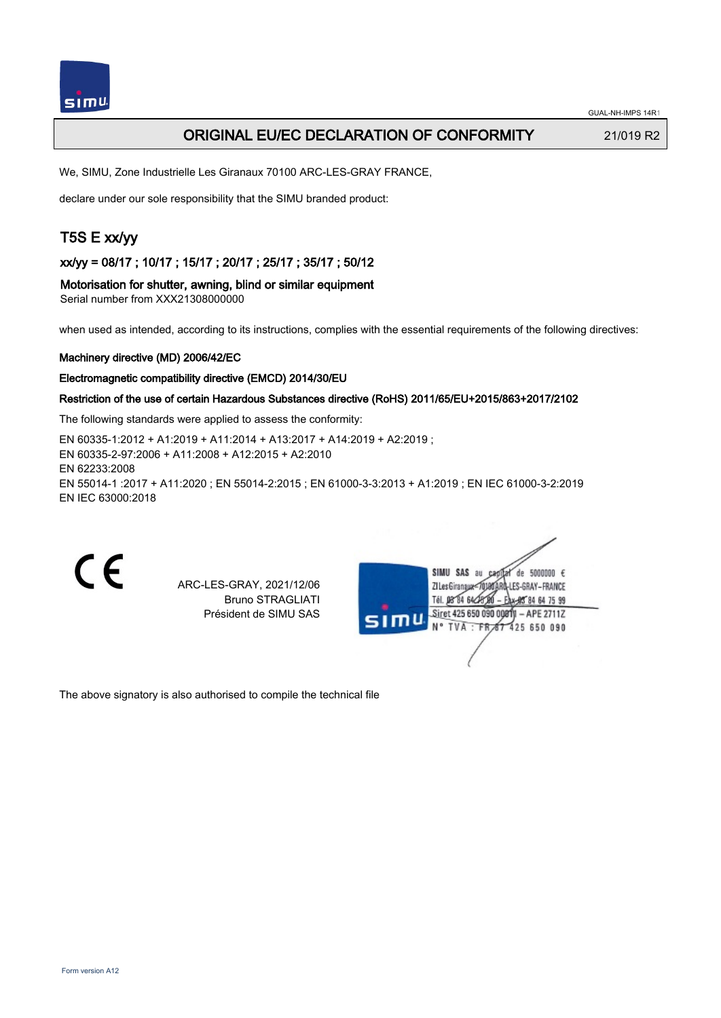## ORIGINAL EU/EC DECLARATION OF CONFORMITY 21/019 R2

We, SIMU, Zone Industrielle Les Giranaux 70100 ARC-LES-GRAY FRANCE,

declare under our sole responsibility that the SIMU branded product:

# T5S E xx/yy

xx/yy = 08/17 ; 10/17 ; 15/17 ; 20/17 ; 25/17 ; 35/17 ; 50/12

Motorisation for shutter, awning, blind or similar equipment Serial number from XXX21308000000

when used as intended, according to its instructions, complies with the essential requirements of the following directives:

#### Machinery directive (MD) 2006/42/EC

#### Electromagnetic compatibility directive (EMCD) 2014/30/EU

### Restriction of the use of certain Hazardous Substances directive (RoHS) 2011/65/EU+2015/863+2017/2102

The following standards were applied to assess the conformity:

EN 60335‑1:2012 + A1:2019 + A11:2014 + A13:2017 + A14:2019 + A2:2019 ; EN 60335‑2‑97:2006 + A11:2008 + A12:2015 + A2:2010 EN 62233:2008 EN 55014‑1 :2017 + A11:2020 ; EN 55014‑2:2015 ; EN 61000‑3‑3:2013 + A1:2019 ; EN IEC 61000‑3‑2:2019 EN IEC 63000:2018

 $\epsilon$ 

ARC-LES-GRAY, 2021/12/06 Bruno STRAGLIATI Président de SIMU SAS

|      | SIMU SAS<br>de 5000000 $\epsilon$<br>au  |
|------|------------------------------------------|
|      | ZI Les Giranaux180 ARQ-LES-GRAY – FRANCE |
|      | Tél. 08°04 642<br>*郎84647599             |
| SIMU | Siret 425 650 090 0081)I - APE 2711Z     |
|      | N° TVA : FR 67 425 650 090               |
|      |                                          |
|      |                                          |
|      |                                          |

The above signatory is also authorised to compile the technical file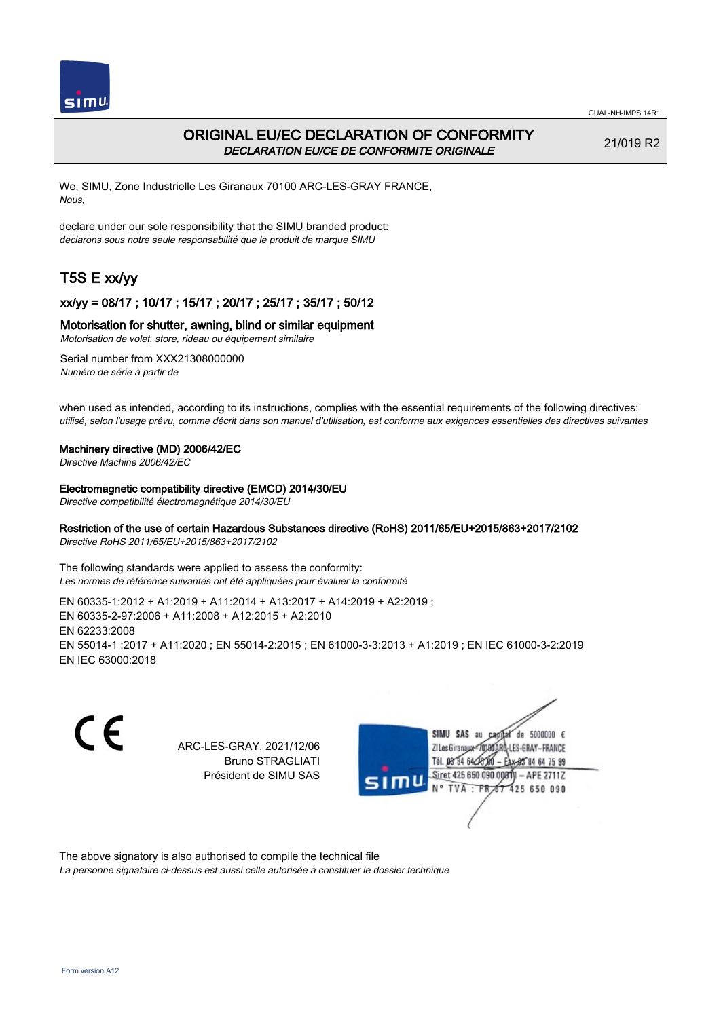

## ORIGINAL EU/EC DECLARATION OF CONFORMITY DECLARATION EU/CE DE CONFORMITE ORIGINALE

21/019 R2

64 75 99

 $-$  APE 2711Z

We, SIMU, Zone Industrielle Les Giranaux 70100 ARC-LES-GRAY FRANCE, Nous,

declare under our sole responsibility that the SIMU branded product: declarons sous notre seule responsabilité que le produit de marque SIMU

# T5S E xx/yy

### xx/yy = 08/17 ; 10/17 ; 15/17 ; 20/17 ; 25/17 ; 35/17 ; 50/12

### Motorisation for shutter, awning, blind or similar equipment

Motorisation de volet, store, rideau ou équipement similaire

Serial number from XXX21308000000 Numéro de série à partir de

when used as intended, according to its instructions, complies with the essential requirements of the following directives: utilisé, selon l'usage prévu, comme décrit dans son manuel d'utilisation, est conforme aux exigences essentielles des directives suivantes

### Machinery directive (MD) 2006/42/EC

Directive Machine 2006/42/EC

Electromagnetic compatibility directive (EMCD) 2014/30/EU

Directive compatibilité électromagnétique 2014/30/EU

### Restriction of the use of certain Hazardous Substances directive (RoHS) 2011/65/EU+2015/863+2017/2102

Directive RoHS 2011/65/EU+2015/863+2017/2102

The following standards were applied to assess the conformity: Les normes de référence suivantes ont été appliquées pour évaluer la conformité

EN 60335‑1:2012 + A1:2019 + A11:2014 + A13:2017 + A14:2019 + A2:2019 ; EN 60335‑2‑97:2006 + A11:2008 + A12:2015 + A2:2010 EN 62233:2008 EN 55014‑1 :2017 + A11:2020 ; EN 55014‑2:2015 ; EN 61000‑3‑3:2013 + A1:2019 ; EN IEC 61000‑3‑2:2019 EN IEC 63000:2018

C E SIMU SAS au  $de$  5000000  $f$ ARC-LES-GRAY, 2021/12/06 71 les Giranaux</r01 LES-GRAY-FRANCE Bruno STRAGLIATI Tél. **DR R4 64/2** Président de SIMU SAS Siret 425 650 090 0081 **TVA FR** 425 650 090

The above signatory is also authorised to compile the technical file

La personne signataire ci-dessus est aussi celle autorisée à constituer le dossier technique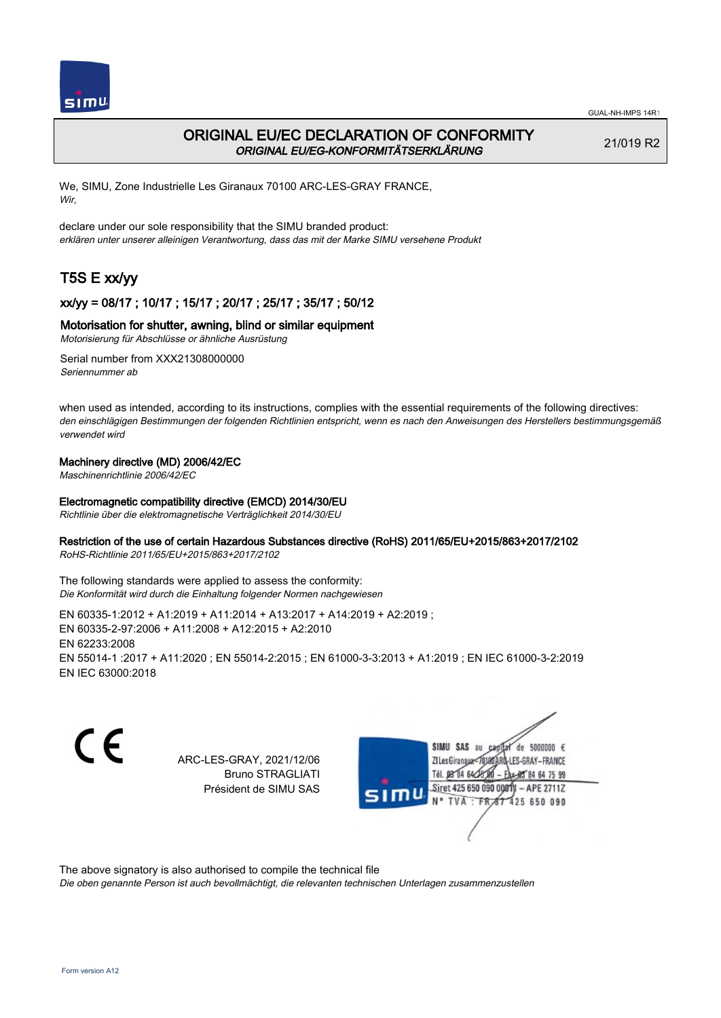

## ORIGINAL EU/EC DECLARATION OF CONFORMITY ORIGINAL EU/EG-KONFORMITÄTSERKLÄRUNG

21/019 R2

We, SIMU, Zone Industrielle Les Giranaux 70100 ARC-LES-GRAY FRANCE, Wir,

declare under our sole responsibility that the SIMU branded product: erklären unter unserer alleinigen Verantwortung, dass das mit der Marke SIMU versehene Produkt

# T5S E xx/yy

## xx/yy = 08/17 ; 10/17 ; 15/17 ; 20/17 ; 25/17 ; 35/17 ; 50/12

### Motorisation for shutter, awning, blind or similar equipment

Motorisierung für Abschlüsse or ähnliche Ausrüstung

Serial number from XXX21308000000 Seriennummer ab

when used as intended, according to its instructions, complies with the essential requirements of the following directives: den einschlägigen Bestimmungen der folgenden Richtlinien entspricht, wenn es nach den Anweisungen des Herstellers bestimmungsgemäß verwendet wird

### Machinery directive (MD) 2006/42/EC

Maschinenrichtlinie 2006/42/EC

### Electromagnetic compatibility directive (EMCD) 2014/30/EU

Richtlinie über die elektromagnetische Verträglichkeit 2014/30/EU

### Restriction of the use of certain Hazardous Substances directive (RoHS) 2011/65/EU+2015/863+2017/2102

RoHS-Richtlinie 2011/65/EU+2015/863+2017/2102

The following standards were applied to assess the conformity: Die Konformität wird durch die Einhaltung folgender Normen nachgewiesen

EN 60335‑1:2012 + A1:2019 + A11:2014 + A13:2017 + A14:2019 + A2:2019 ; EN 60335‑2‑97:2006 + A11:2008 + A12:2015 + A2:2010 EN 62233:2008 EN 55014‑1 :2017 + A11:2020 ; EN 55014‑2:2015 ; EN 61000‑3‑3:2013 + A1:2019 ; EN IEC 61000‑3‑2:2019 EN IEC 63000:2018

CE

ARC-LES-GRAY, 2021/12/06 Bruno STRAGLIATI Président de SIMU SAS



The above signatory is also authorised to compile the technical file

Die oben genannte Person ist auch bevollmächtigt, die relevanten technischen Unterlagen zusammenzustellen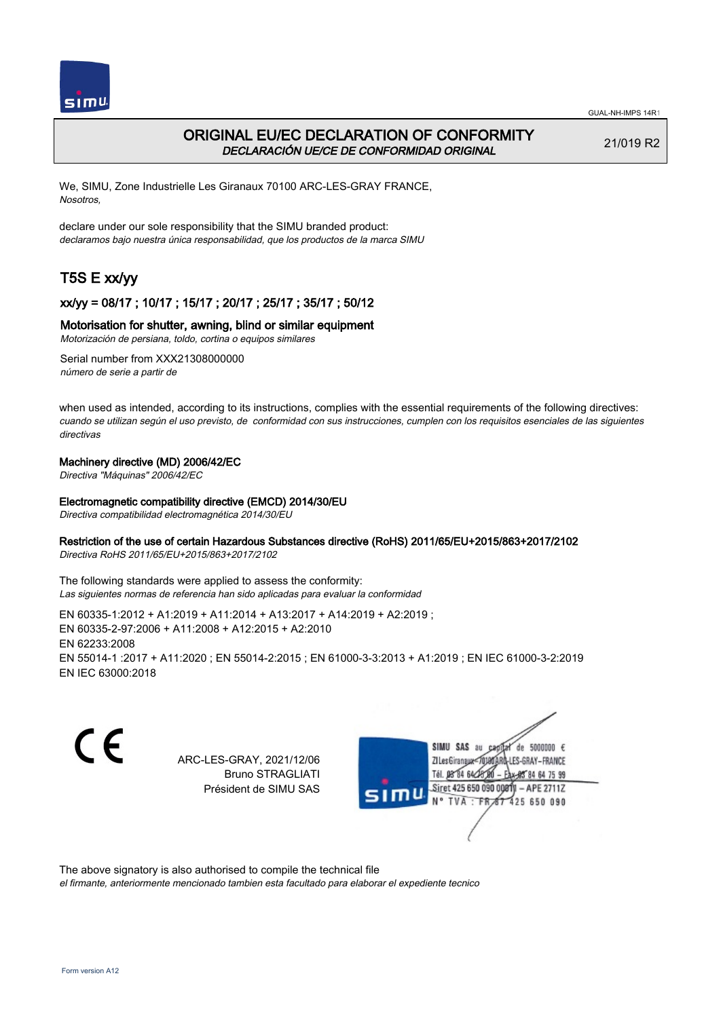

## ORIGINAL EU/EC DECLARATION OF CONFORMITY DECLARACIÓN UE/CE DE CONFORMIDAD ORIGINAL

21/019 R2

We, SIMU, Zone Industrielle Les Giranaux 70100 ARC-LES-GRAY FRANCE, Nosotros,

declare under our sole responsibility that the SIMU branded product: declaramos bajo nuestra única responsabilidad, que los productos de la marca SIMU

# T5S E xx/yy

### xx/yy = 08/17 ; 10/17 ; 15/17 ; 20/17 ; 25/17 ; 35/17 ; 50/12

### Motorisation for shutter, awning, blind or similar equipment

Motorización de persiana, toldo, cortina o equipos similares

Serial number from XXX21308000000 número de serie a partir de

when used as intended, according to its instructions, complies with the essential requirements of the following directives: cuando se utilizan según el uso previsto, de conformidad con sus instrucciones, cumplen con los requisitos esenciales de las siguientes directivas

### Machinery directive (MD) 2006/42/EC

Directiva "Máquinas" 2006/42/EC

### Electromagnetic compatibility directive (EMCD) 2014/30/EU

Directiva compatibilidad electromagnética 2014/30/EU

### Restriction of the use of certain Hazardous Substances directive (RoHS) 2011/65/EU+2015/863+2017/2102

Directiva RoHS 2011/65/EU+2015/863+2017/2102

The following standards were applied to assess the conformity: Las siguientes normas de referencia han sido aplicadas para evaluar la conformidad

EN 60335‑1:2012 + A1:2019 + A11:2014 + A13:2017 + A14:2019 + A2:2019 ; EN 60335‑2‑97:2006 + A11:2008 + A12:2015 + A2:2010 EN 62233:2008 EN 55014‑1 :2017 + A11:2020 ; EN 55014‑2:2015 ; EN 61000‑3‑3:2013 + A1:2019 ; EN IEC 61000‑3‑2:2019 EN IEC 63000:2018

CE

ARC-LES-GRAY, 2021/12/06 Bruno STRAGLIATI Président de SIMU SAS



The above signatory is also authorised to compile the technical file

el firmante, anteriormente mencionado tambien esta facultado para elaborar el expediente tecnico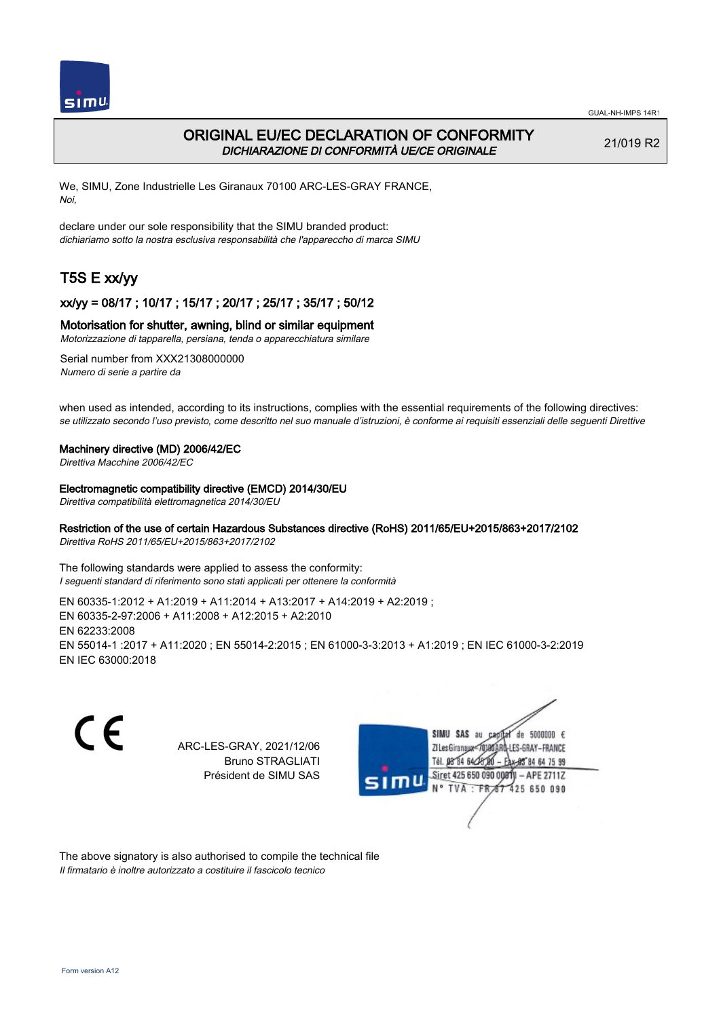

## ORIGINAL EU/EC DECLARATION OF CONFORMITY DICHIARAZIONE DI CONFORMITÀ UE/CE ORIGINALE

21/019 R2

We, SIMU, Zone Industrielle Les Giranaux 70100 ARC-LES-GRAY FRANCE, Noi,

declare under our sole responsibility that the SIMU branded product: dichiariamo sotto la nostra esclusiva responsabilità che l'appareccho di marca SIMU

# T5S E xx/yy

### xx/yy = 08/17 ; 10/17 ; 15/17 ; 20/17 ; 25/17 ; 35/17 ; 50/12

#### Motorisation for shutter, awning, blind or similar equipment

Motorizzazione di tapparella, persiana, tenda o apparecchiatura similare

Serial number from XXX21308000000 Numero di serie a partire da

when used as intended, according to its instructions, complies with the essential requirements of the following directives: se utilizzato secondo l'uso previsto, come descritto nel suo manuale d'istruzioni, è conforme ai requisiti essenziali delle seguenti Direttive

#### Machinery directive (MD) 2006/42/EC

Direttiva Macchine 2006/42/EC

#### Electromagnetic compatibility directive (EMCD) 2014/30/EU

Direttiva compatibilità elettromagnetica 2014/30/EU

### Restriction of the use of certain Hazardous Substances directive (RoHS) 2011/65/EU+2015/863+2017/2102

Direttiva RoHS 2011/65/EU+2015/863+2017/2102

The following standards were applied to assess the conformity: I seguenti standard di riferimento sono stati applicati per ottenere la conformità

EN 60335‑1:2012 + A1:2019 + A11:2014 + A13:2017 + A14:2019 + A2:2019 ; EN 60335‑2‑97:2006 + A11:2008 + A12:2015 + A2:2010 EN 62233:2008 EN 55014‑1 :2017 + A11:2020 ; EN 55014‑2:2015 ; EN 61000‑3‑3:2013 + A1:2019 ; EN IEC 61000‑3‑2:2019 EN IEC 63000:2018

C E SIMU SAS au  $de$  5000000  $f$ ARC-LES-GRAY, 2021/12/06 71 Les Giranaux 1018 LES-GRAY-FRANCE Bruno STRAGLIATI Tél. 08 84 64 2 64 75 99 Président de SIMU SAS Siret 425 650 090 0081  $-$  APE 2711Z TVA: FR 425 650 090

The above signatory is also authorised to compile the technical file Il firmatario è inoltre autorizzato a costituire il fascicolo tecnico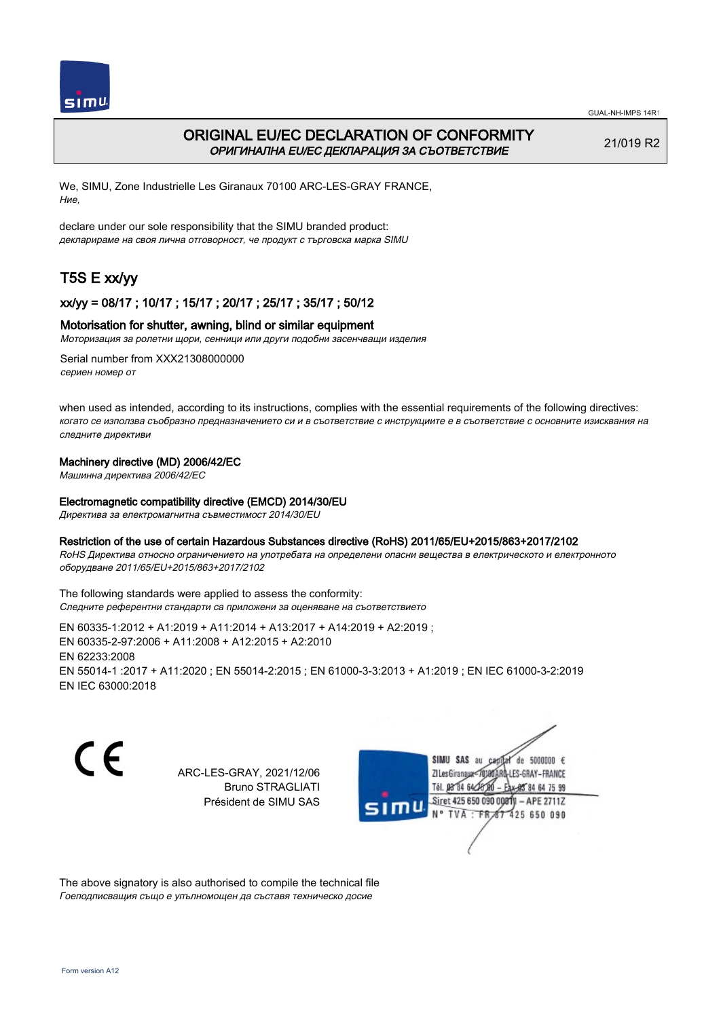

## ORIGINAL EU/EC DECLARATION OF CONFORMITY ОРИГИНАЛНА EU/EC ДЕКЛАРАЦИЯ ЗА СЪОТВЕТСТВИЕ

21/019 R2

We, SIMU, Zone Industrielle Les Giranaux 70100 ARC-LES-GRAY FRANCE, Ние,

declare under our sole responsibility that the SIMU branded product: декларираме на своя лична отговорност, че продукт с търговска марка SIMU

# T5S E xx/yy

### xx/yy = 08/17 ; 10/17 ; 15/17 ; 20/17 ; 25/17 ; 35/17 ; 50/12

### Motorisation for shutter, awning, blind or similar equipment

Моторизация за ролетни щори, сенници или други подобни засенчващи изделия

Serial number from XXX21308000000 сериен номер от

when used as intended, according to its instructions, complies with the essential requirements of the following directives: когато се използва съобразно предназначението си и в съответствие с инструкциите е в съответствие с основните изисквания на следните директиви

### Machinery directive (MD) 2006/42/EC

Машинна директива 2006/42/EC

### Electromagnetic compatibility directive (EMCD) 2014/30/EU

Директива за електромагнитна съвместимост 2014/30/EU

### Restriction of the use of certain Hazardous Substances directive (RoHS) 2011/65/EU+2015/863+2017/2102

RoHS Директива относно ограничението на употребата на определени опасни вещества в електрическото и електронното оборудване 2011/65/EU+2015/863+2017/2102

The following standards were applied to assess the conformity: Следните референтни стандарти са приложени за оценяване на съответствието

EN 60335‑1:2012 + A1:2019 + A11:2014 + A13:2017 + A14:2019 + A2:2019 ; EN 60335‑2‑97:2006 + A11:2008 + A12:2015 + A2:2010 EN 62233:2008 EN 55014‑1 :2017 + A11:2020 ; EN 55014‑2:2015 ; EN 61000‑3‑3:2013 + A1:2019 ; EN IEC 61000‑3‑2:2019 EN IEC 63000:2018

C E

ARC-LES-GRAY, 2021/12/06 Bruno STRAGLIATI Président de SIMU SAS

SIMU SAS au  $de 5000000 f$ LES-GRAY-FRANCE ZI Les Giranaux</DJ80AF Tél. 08 84 64 28 85 84 64 75 99 Siret 425 650 090 008TV  $-$  APE 2711Z N° TVA: FRAT 425 650 090

The above signatory is also authorised to compile the technical file Гоеподписващия също е упълномощен да съставя техническо досие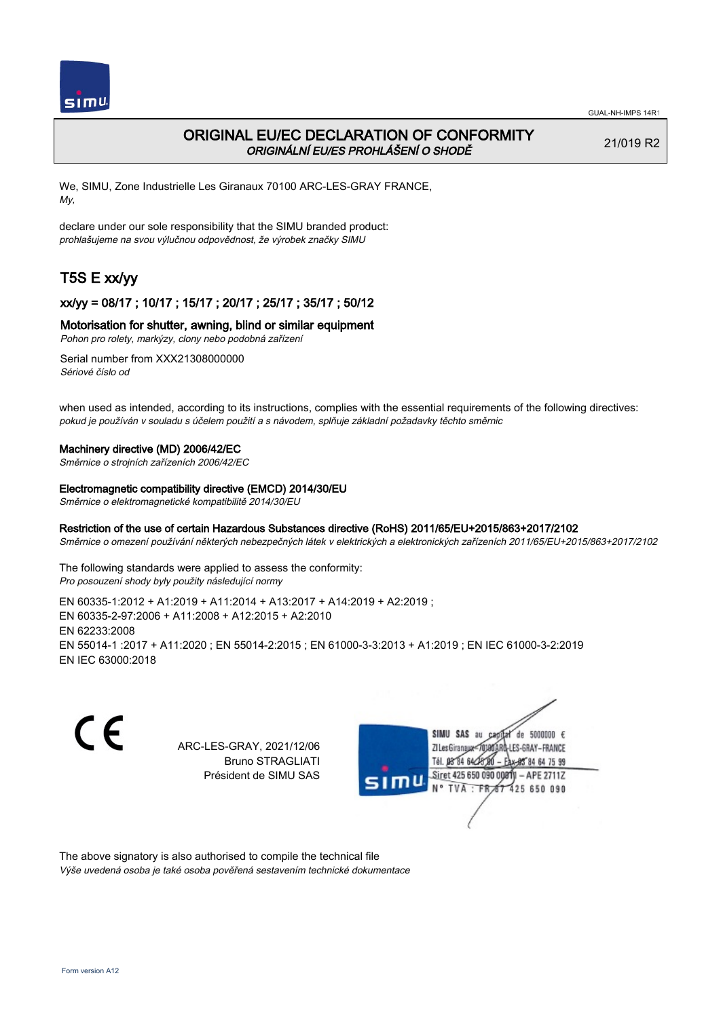

## ORIGINAL EU/EC DECLARATION OF CONFORMITY ORIGINÁLNÍ EU/ES PROHLÁŠENÍ O SHODĚ

21/019 R2

We, SIMU, Zone Industrielle Les Giranaux 70100 ARC-LES-GRAY FRANCE, My,

declare under our sole responsibility that the SIMU branded product: prohlašujeme na svou výlučnou odpovědnost, že výrobek značky SIMU

# T5S E xx/yy

## xx/yy = 08/17 ; 10/17 ; 15/17 ; 20/17 ; 25/17 ; 35/17 ; 50/12

### Motorisation for shutter, awning, blind or similar equipment

Pohon pro rolety, markýzy, clony nebo podobná zařízení

Serial number from XXX21308000000 Sériové číslo od

when used as intended, according to its instructions, complies with the essential requirements of the following directives: pokud je používán v souladu s účelem použití a s návodem, splňuje základní požadavky těchto směrnic

### Machinery directive (MD) 2006/42/EC

Směrnice o strojních zařízeních 2006/42/EC

### Electromagnetic compatibility directive (EMCD) 2014/30/EU

Směrnice o elektromagnetické kompatibilitě 2014/30/EU

### Restriction of the use of certain Hazardous Substances directive (RoHS) 2011/65/EU+2015/863+2017/2102

Směrnice o omezení používání některých nebezpečných látek v elektrických a elektronických zařízeních 2011/65/EU+2015/863+2017/2102

The following standards were applied to assess the conformity: Pro posouzení shody byly použity následující normy

EN 60335‑1:2012 + A1:2019 + A11:2014 + A13:2017 + A14:2019 + A2:2019 ; EN 60335‑2‑97:2006 + A11:2008 + A12:2015 + A2:2010 EN 62233:2008 EN 55014‑1 :2017 + A11:2020 ; EN 55014‑2:2015 ; EN 61000‑3‑3:2013 + A1:2019 ; EN IEC 61000‑3‑2:2019 EN IEC 63000:2018

C E ARC-LES-GRAY, 2021/12/06 Bruno STRAGLIATI Président de SIMU SAS



The above signatory is also authorised to compile the technical file Výše uvedená osoba je také osoba pověřená sestavením technické dokumentace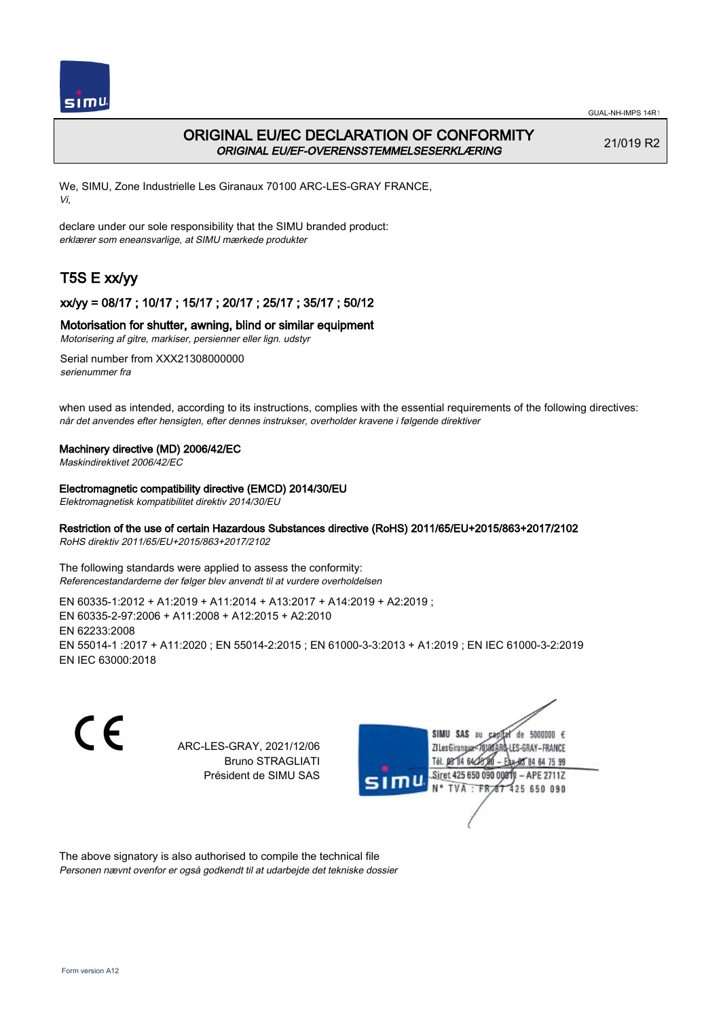

## ORIGINAL EU/EC DECLARATION OF CONFORMITY ORIGINAL EU/EF-OVERENSSTEMMELSESERKLÆRING

21/019 R2

We, SIMU, Zone Industrielle Les Giranaux 70100 ARC-LES-GRAY FRANCE, Vi,

declare under our sole responsibility that the SIMU branded product: erklærer som eneansvarlige, at SIMU mærkede produkter

# T5S E xx/yy

### xx/yy = 08/17 ; 10/17 ; 15/17 ; 20/17 ; 25/17 ; 35/17 ; 50/12

### Motorisation for shutter, awning, blind or similar equipment

Motorisering af gitre, markiser, persienner eller lign. udstyr

Serial number from XXX21308000000 serienummer fra

when used as intended, according to its instructions, complies with the essential requirements of the following directives: når det anvendes efter hensigten, efter dennes instrukser, overholder kravene i følgende direktiver

### Machinery directive (MD) 2006/42/EC

Maskindirektivet 2006/42/EC

### Electromagnetic compatibility directive (EMCD) 2014/30/EU

Elektromagnetisk kompatibilitet direktiv 2014/30/EU

### Restriction of the use of certain Hazardous Substances directive (RoHS) 2011/65/EU+2015/863+2017/2102

RoHS direktiv 2011/65/EU+2015/863+2017/2102

The following standards were applied to assess the conformity: Referencestandarderne der følger blev anvendt til at vurdere overholdelsen

EN 60335‑1:2012 + A1:2019 + A11:2014 + A13:2017 + A14:2019 + A2:2019 ; EN 60335‑2‑97:2006 + A11:2008 + A12:2015 + A2:2010 EN 62233:2008 EN 55014‑1 :2017 + A11:2020 ; EN 55014‑2:2015 ; EN 61000‑3‑3:2013 + A1:2019 ; EN IEC 61000‑3‑2:2019 EN IEC 63000:2018

C E de 5000000  $\epsilon$ SIMU SAS au ARC-LES-GRAY, 2021/12/06 71 les Giranaux</nux LES-GRAY-FRANCE Bruno STRAGLIATI Tél. 08 R4 64 2 64 75 99 Président de SIMU SAS Siret 425 650 090 0081  $-$  APE 2711Z TVA: FR<sub>4</sub>57 425 650 090

The above signatory is also authorised to compile the technical file Personen nævnt ovenfor er også godkendt til at udarbejde det tekniske dossier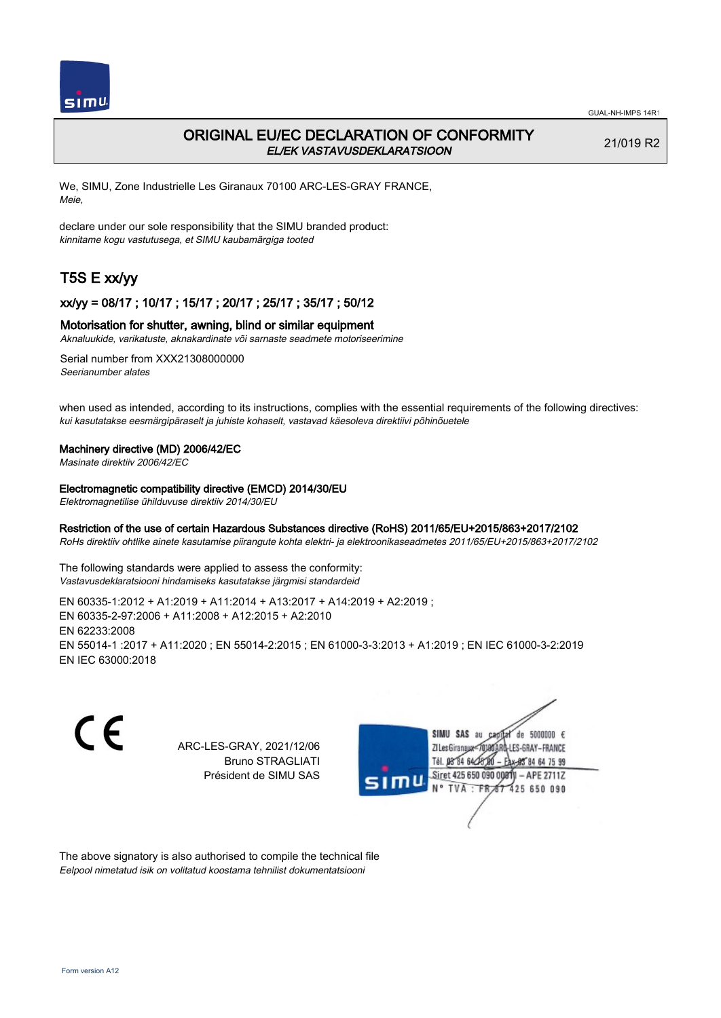

## ORIGINAL EU/EC DECLARATION OF CONFORMITY EL/EK VASTAVUSDEKLARATSIOON

21/019 R2

We, SIMU, Zone Industrielle Les Giranaux 70100 ARC-LES-GRAY FRANCE, Meie,

declare under our sole responsibility that the SIMU branded product: kinnitame kogu vastutusega, et SIMU kaubamärgiga tooted

# T5S E xx/yy

### xx/yy = 08/17 ; 10/17 ; 15/17 ; 20/17 ; 25/17 ; 35/17 ; 50/12

### Motorisation for shutter, awning, blind or similar equipment

Aknaluukide, varikatuste, aknakardinate või sarnaste seadmete motoriseerimine

Serial number from XXX21308000000 Seerianumber alates

when used as intended, according to its instructions, complies with the essential requirements of the following directives: kui kasutatakse eesmärgipäraselt ja juhiste kohaselt, vastavad käesoleva direktiivi põhinõuetele

### Machinery directive (MD) 2006/42/EC

Masinate direktiiv 2006/42/EC

#### Electromagnetic compatibility directive (EMCD) 2014/30/EU

Elektromagnetilise ühilduvuse direktiiv 2014/30/EU

### Restriction of the use of certain Hazardous Substances directive (RoHS) 2011/65/EU+2015/863+2017/2102

RoHs direktiiv ohtlike ainete kasutamise piirangute kohta elektri- ja elektroonikaseadmetes 2011/65/EU+2015/863+2017/2102

The following standards were applied to assess the conformity: Vastavusdeklaratsiooni hindamiseks kasutatakse järgmisi standardeid

EN 60335‑1:2012 + A1:2019 + A11:2014 + A13:2017 + A14:2019 + A2:2019 ; EN 60335‑2‑97:2006 + A11:2008 + A12:2015 + A2:2010 EN 62233:2008 EN 55014‑1 :2017 + A11:2020 ; EN 55014‑2:2015 ; EN 61000‑3‑3:2013 + A1:2019 ; EN IEC 61000‑3‑2:2019 EN IEC 63000:2018

C E

ARC-LES-GRAY, 2021/12/06 Bruno STRAGLIATI Président de SIMU SAS



The above signatory is also authorised to compile the technical file Eelpool nimetatud isik on volitatud koostama tehnilist dokumentatsiooni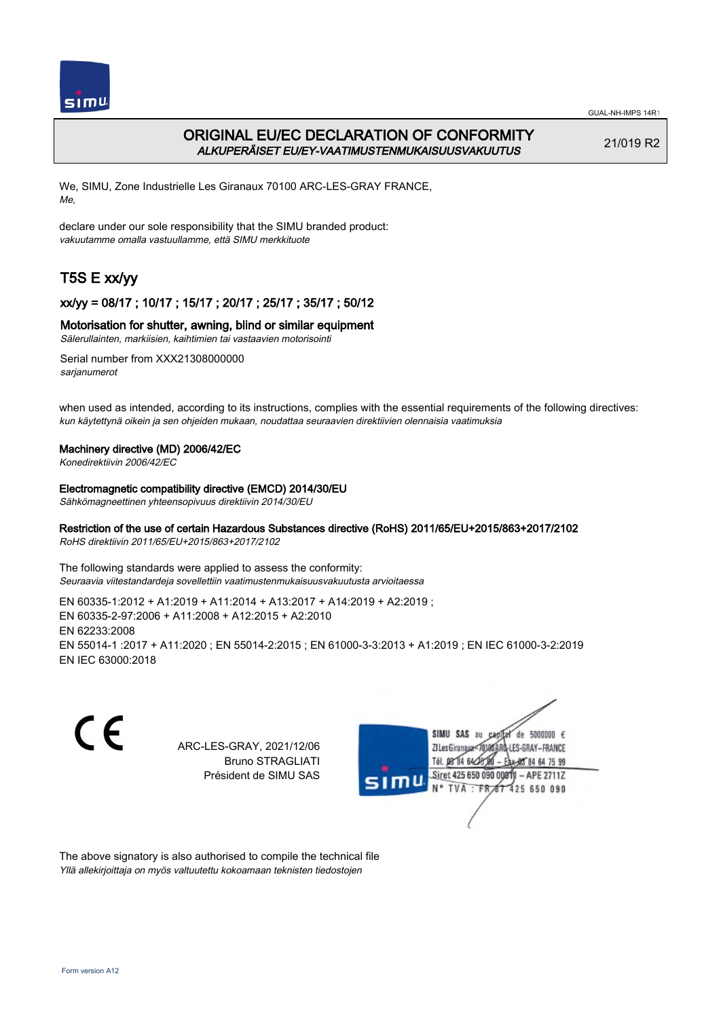

## ORIGINAL EU/EC DECLARATION OF CONFORMITY ALKUPERÄISET EU/EY-VAATIMUSTENMUKAISUUSVAKUUTUS

21/019 R2

We, SIMU, Zone Industrielle Les Giranaux 70100 ARC-LES-GRAY FRANCE, Me,

declare under our sole responsibility that the SIMU branded product: vakuutamme omalla vastuullamme, että SIMU merkkituote

# T5S E xx/yy

## xx/yy = 08/17 ; 10/17 ; 15/17 ; 20/17 ; 25/17 ; 35/17 ; 50/12

### Motorisation for shutter, awning, blind or similar equipment

Sälerullainten, markiisien, kaihtimien tai vastaavien motorisointi

Serial number from XXX21308000000 sarianumerot

when used as intended, according to its instructions, complies with the essential requirements of the following directives: kun käytettynä oikein ja sen ohjeiden mukaan, noudattaa seuraavien direktiivien olennaisia vaatimuksia

### Machinery directive (MD) 2006/42/EC

Konedirektiivin 2006/42/EC

### Electromagnetic compatibility directive (EMCD) 2014/30/EU

Sähkömagneettinen yhteensopivuus direktiivin 2014/30/EU

### Restriction of the use of certain Hazardous Substances directive (RoHS) 2011/65/EU+2015/863+2017/2102

RoHS direktiivin 2011/65/EU+2015/863+2017/2102

The following standards were applied to assess the conformity: Seuraavia viitestandardeja sovellettiin vaatimustenmukaisuusvakuutusta arvioitaessa

EN 60335‑1:2012 + A1:2019 + A11:2014 + A13:2017 + A14:2019 + A2:2019 ; EN 60335‑2‑97:2006 + A11:2008 + A12:2015 + A2:2010 EN 62233:2008 EN 55014‑1 :2017 + A11:2020 ; EN 55014‑2:2015 ; EN 61000‑3‑3:2013 + A1:2019 ; EN IEC 61000‑3‑2:2019 EN IEC 63000:2018

C E SIMU SAS au  $de$  5000000  $f$ ARC-LES-GRAY, 2021/12/06 71 Les Giranaux 1018 LES-GRAY-FRANCE Bruno STRAGLIATI Tél. **DR R4 64/2** 64 75 99 Président de SIMU SAS Siret 425 650 090 0081  $-$  APE 2711Z TVA: FR 425 650 090

The above signatory is also authorised to compile the technical file Yllä allekirjoittaja on myös valtuutettu kokoamaan teknisten tiedostojen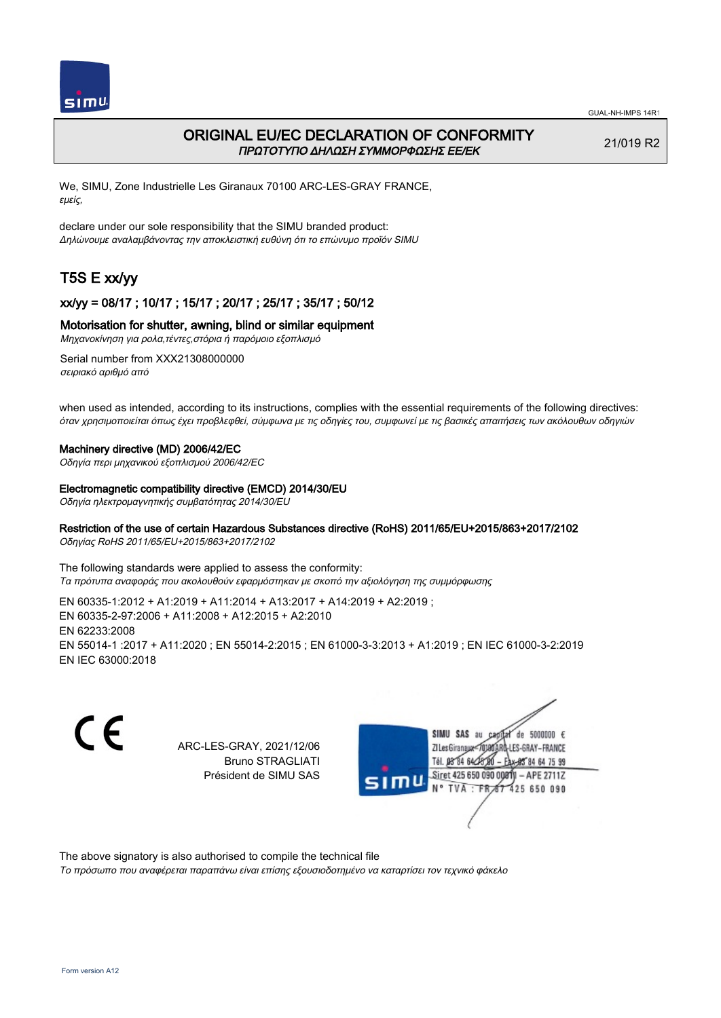

## ORIGINAL EU/EC DECLARATION OF CONFORMITY ΠΡΩΤΟΤΥΠΟ ΔΗΛΩΣΗ ΣΥΜΜΟΡΦΩΣΗΣ ΕΕ/EK

21/019 R2

We, SIMU, Zone Industrielle Les Giranaux 70100 ARC-LES-GRAY FRANCE, εμείς,

declare under our sole responsibility that the SIMU branded product: Δηλώνουμε αναλαμβάνοντας την αποκλειστική ευθύνη ότι το επώνυμο προϊόν SIMU

# T5S E xx/yy

### xx/yy = 08/17 ; 10/17 ; 15/17 ; 20/17 ; 25/17 ; 35/17 ; 50/12

### Motorisation for shutter, awning, blind or similar equipment

Μηχανοκίνηση για ρολα,τέντες,στόρια ή παρόμοιο εξοπλισμό

Serial number from XXX21308000000 σειριακό αριθμό από

when used as intended, according to its instructions, complies with the essential requirements of the following directives: όταν χρησιμοποιείται όπως έχει προβλεφθεί, σύμφωνα με τις οδηγίες του, συμφωνεί με τις βασικές απαιτήσεις των ακόλουθων οδηγιών

#### Machinery directive (MD) 2006/42/EC

Οδηγία περι μηχανικού εξοπλισμού 2006/42/EC

#### Electromagnetic compatibility directive (EMCD) 2014/30/EU

Οδηγία ηλεκτρομαγνητικής συμβατότητας 2014/30/EU

### Restriction of the use of certain Hazardous Substances directive (RoHS) 2011/65/EU+2015/863+2017/2102

Οδηγίας RoHS 2011/65/EU+2015/863+2017/2102

The following standards were applied to assess the conformity: Τα πρότυπα αναφοράς που ακολουθούν εφαρμόστηκαν με σκοπό την αξιολόγηση της συμμόρφωσης

EN 60335‑1:2012 + A1:2019 + A11:2014 + A13:2017 + A14:2019 + A2:2019 ; EN 60335‑2‑97:2006 + A11:2008 + A12:2015 + A2:2010 EN 62233:2008 EN 55014‑1 :2017 + A11:2020 ; EN 55014‑2:2015 ; EN 61000‑3‑3:2013 + A1:2019 ; EN IEC 61000‑3‑2:2019 EN IEC 63000:2018

C E ARC-LES-GRAY, 2021/12/06 Bruno STRAGLIATI Président de SIMU SAS



The above signatory is also authorised to compile the technical file

Το πρόσωπο που αναφέρεται παραπάνω είναι επίσης εξουσιοδοτημένο να καταρτίσει τον τεχνικό φάκελο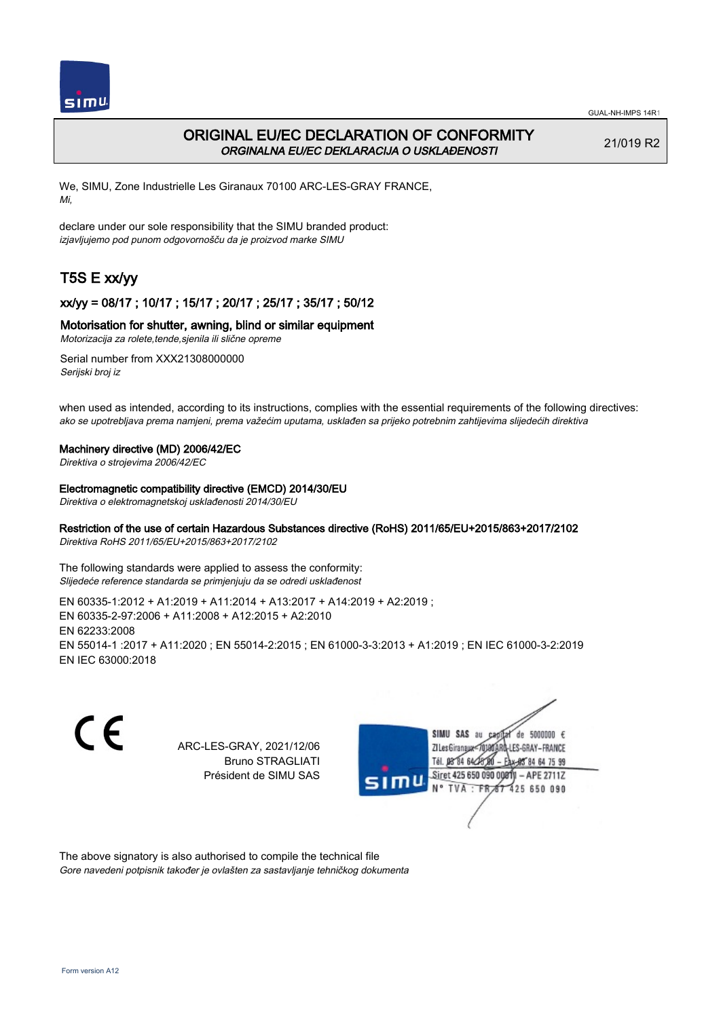

## ORIGINAL EU/EC DECLARATION OF CONFORMITY ORGINALNA EU/EC DEKLARACIJA O USKLAĐENOSTI

21/019 R2

64 75 99

We, SIMU, Zone Industrielle Les Giranaux 70100 ARC-LES-GRAY FRANCE, Mi,

declare under our sole responsibility that the SIMU branded product: izjavljujemo pod punom odgovornošču da je proizvod marke SIMU

# T5S E xx/yy

## xx/yy = 08/17 ; 10/17 ; 15/17 ; 20/17 ; 25/17 ; 35/17 ; 50/12

### Motorisation for shutter, awning, blind or similar equipment

Motorizacija za rolete,tende,sjenila ili slične opreme

Serial number from XXX21308000000 Serijski broj iz

when used as intended, according to its instructions, complies with the essential requirements of the following directives: ako se upotrebljava prema namjeni, prema važećim uputama, usklađen sa prijeko potrebnim zahtijevima slijedećih direktiva

### Machinery directive (MD) 2006/42/EC

Direktiva o strojevima 2006/42/EC

Electromagnetic compatibility directive (EMCD) 2014/30/EU

Direktiva o elektromagnetskoj usklađenosti 2014/30/EU

### Restriction of the use of certain Hazardous Substances directive (RoHS) 2011/65/EU+2015/863+2017/2102

Direktiva RoHS 2011/65/EU+2015/863+2017/2102

The following standards were applied to assess the conformity: Slijedeće reference standarda se primjenjuju da se odredi usklađenost

EN 60335‑1:2012 + A1:2019 + A11:2014 + A13:2017 + A14:2019 + A2:2019 ; EN 60335‑2‑97:2006 + A11:2008 + A12:2015 + A2:2010 EN 62233:2008 EN 55014‑1 :2017 + A11:2020 ; EN 55014‑2:2015 ; EN 61000‑3‑3:2013 + A1:2019 ; EN IEC 61000‑3‑2:2019 EN IEC 63000:2018

C E SIMU SAS au de 5000000  $\epsilon$ ARC-LES-GRAY, 2021/12/06 71 les Giranaux</nux LES-GRAY-FRANCE Bruno STRAGLIATI Tél. 08 R4 64 2 Président de SIMU SAS Siret 425 650 090 0081  $-$  APE 2711Z TVA: FR<sub>4</sub>57 425 650 090

The above signatory is also authorised to compile the technical file Gore navedeni potpisnik također je ovlašten za sastavljanje tehničkog dokumenta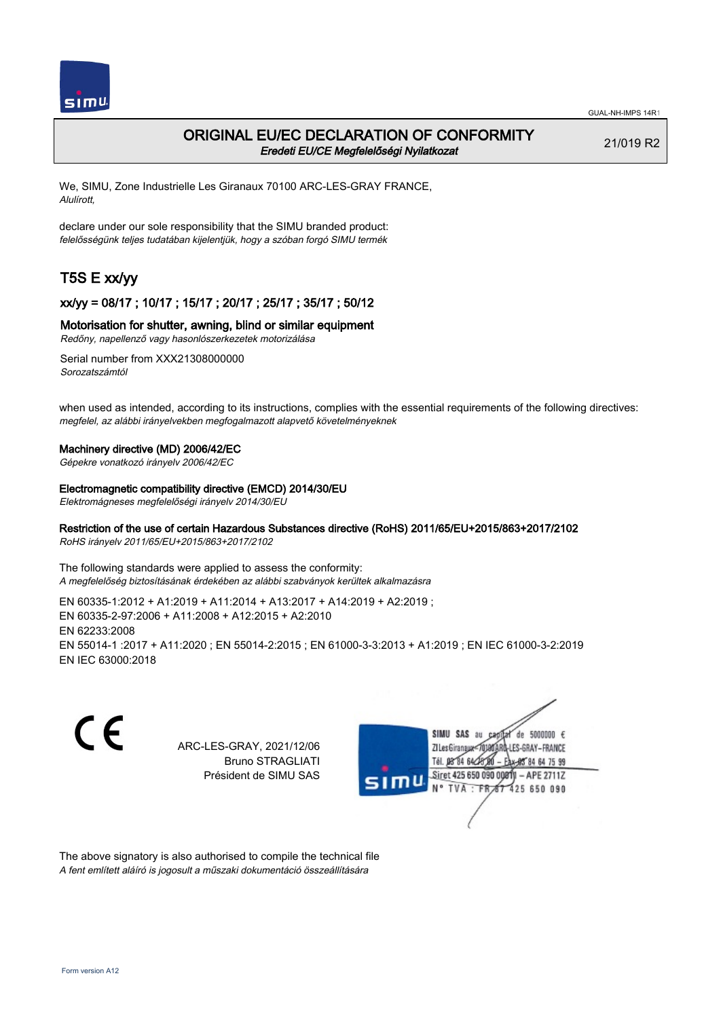

## ORIGINAL EU/EC DECLARATION OF CONFORMITY Eredeti EU/CE Megfelelőségi Nyilatkozat

21/019 R2

We, SIMU, Zone Industrielle Les Giranaux 70100 ARC-LES-GRAY FRANCE, Alulírott,

declare under our sole responsibility that the SIMU branded product: felelősségünk teljes tudatában kijelentjük, hogy a szóban forgó SIMU termék

# T5S E xx/yy

### xx/yy = 08/17 ; 10/17 ; 15/17 ; 20/17 ; 25/17 ; 35/17 ; 50/12

### Motorisation for shutter, awning, blind or similar equipment

Redőny, napellenző vagy hasonlószerkezetek motorizálása

Serial number from XXX21308000000 Sorozatszámtól

when used as intended, according to its instructions, complies with the essential requirements of the following directives: megfelel, az alábbi irányelvekben megfogalmazott alapvető követelményeknek

### Machinery directive (MD) 2006/42/EC

Gépekre vonatkozó irányelv 2006/42/EC

#### Electromagnetic compatibility directive (EMCD) 2014/30/EU

Elektromágneses megfelelőségi irányelv 2014/30/EU

### Restriction of the use of certain Hazardous Substances directive (RoHS) 2011/65/EU+2015/863+2017/2102

RoHS irányelv 2011/65/EU+2015/863+2017/2102

The following standards were applied to assess the conformity: A megfelelőség biztosításának érdekében az alábbi szabványok kerültek alkalmazásra

EN 60335‑1:2012 + A1:2019 + A11:2014 + A13:2017 + A14:2019 + A2:2019 ; EN 60335‑2‑97:2006 + A11:2008 + A12:2015 + A2:2010 EN 62233:2008 EN 55014‑1 :2017 + A11:2020 ; EN 55014‑2:2015 ; EN 61000‑3‑3:2013 + A1:2019 ; EN IEC 61000‑3‑2:2019 EN IEC 63000:2018

C E de 5000000  $\epsilon$ SIMU SAS au ARC-LES-GRAY, 2021/12/06 71 les Giranaux</nux LES-GRAY-FRANCE Bruno STRAGLIATI Tél. **DR R4 64-25** 64 75 99 Président de SIMU SAS Siret 425 650 090 0081  $-$  APE 2711Z TVA: FR 425 650 090

The above signatory is also authorised to compile the technical file A fent említett aláíró is jogosult a műszaki dokumentáció összeállítására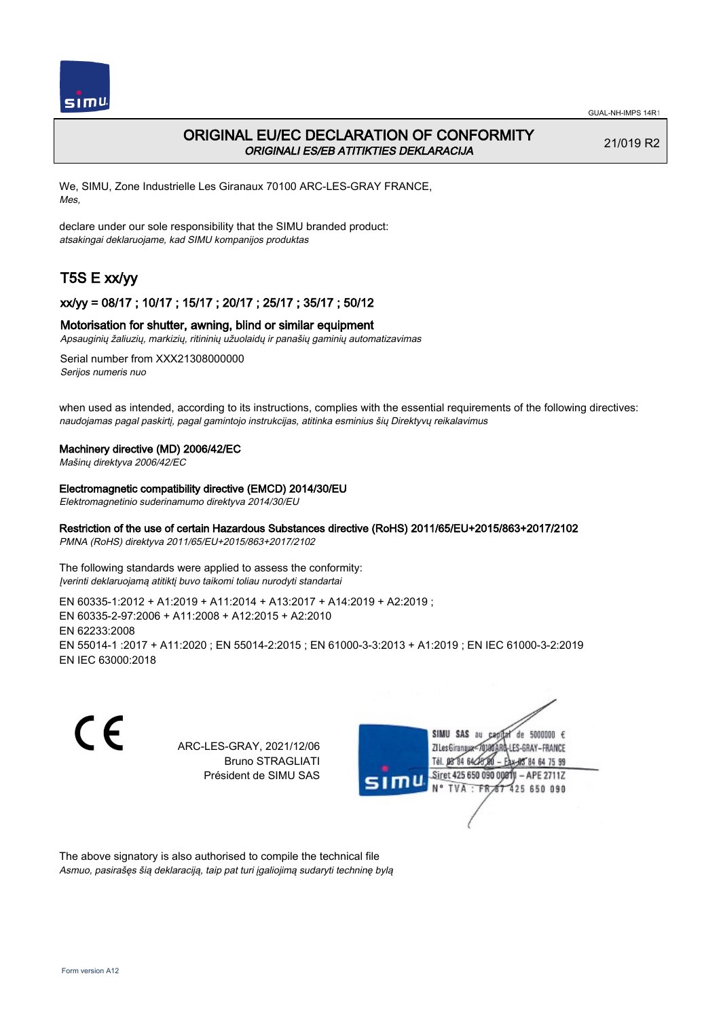

## ORIGINAL EU/EC DECLARATION OF CONFORMITY ORIGINALI ES/EB ATITIKTIES DEKLARACIJA

21/019 R2

We, SIMU, Zone Industrielle Les Giranaux 70100 ARC-LES-GRAY FRANCE, Mes,

declare under our sole responsibility that the SIMU branded product: atsakingai deklaruojame, kad SIMU kompanijos produktas

# T5S E xx/yy

### xx/yy = 08/17 ; 10/17 ; 15/17 ; 20/17 ; 25/17 ; 35/17 ; 50/12

### Motorisation for shutter, awning, blind or similar equipment

Apsauginių žaliuzių, markizių, ritininių užuolaidų ir panašių gaminių automatizavimas

Serial number from XXX21308000000 Serijos numeris nuo

when used as intended, according to its instructions, complies with the essential requirements of the following directives: naudojamas pagal paskirtį, pagal gamintojo instrukcijas, atitinka esminius šių Direktyvų reikalavimus

### Machinery directive (MD) 2006/42/EC

Mašinų direktyva 2006/42/EC

Electromagnetic compatibility directive (EMCD) 2014/30/EU

Elektromagnetinio suderinamumo direktyva 2014/30/EU

### Restriction of the use of certain Hazardous Substances directive (RoHS) 2011/65/EU+2015/863+2017/2102

PMNA (RoHS) direktyva 2011/65/EU+2015/863+2017/2102

The following standards were applied to assess the conformity: Įverinti deklaruojamą atitiktį buvo taikomi toliau nurodyti standartai

EN 60335‑1:2012 + A1:2019 + A11:2014 + A13:2017 + A14:2019 + A2:2019 ; EN 60335‑2‑97:2006 + A11:2008 + A12:2015 + A2:2010 EN 62233:2008 EN 55014‑1 :2017 + A11:2020 ; EN 55014‑2:2015 ; EN 61000‑3‑3:2013 + A1:2019 ; EN IEC 61000‑3‑2:2019 EN IEC 63000:2018

C E SIMU SAS au de 5000000  $\epsilon$ ARC-LES-GRAY, 2021/12/06 71 les Giranaux</nux LES-GRAY-FRANCE Bruno STRAGLIATI Tél. 08 R4 64 2 64 75 99 Président de SIMU SAS Siret 425 650 090 0081  $-$  APE 2711Z TVA: FR<sub>4</sub>57 425 650 090

The above signatory is also authorised to compile the technical file Asmuo, pasirašęs šią deklaraciją, taip pat turi įgaliojimą sudaryti techninę bylą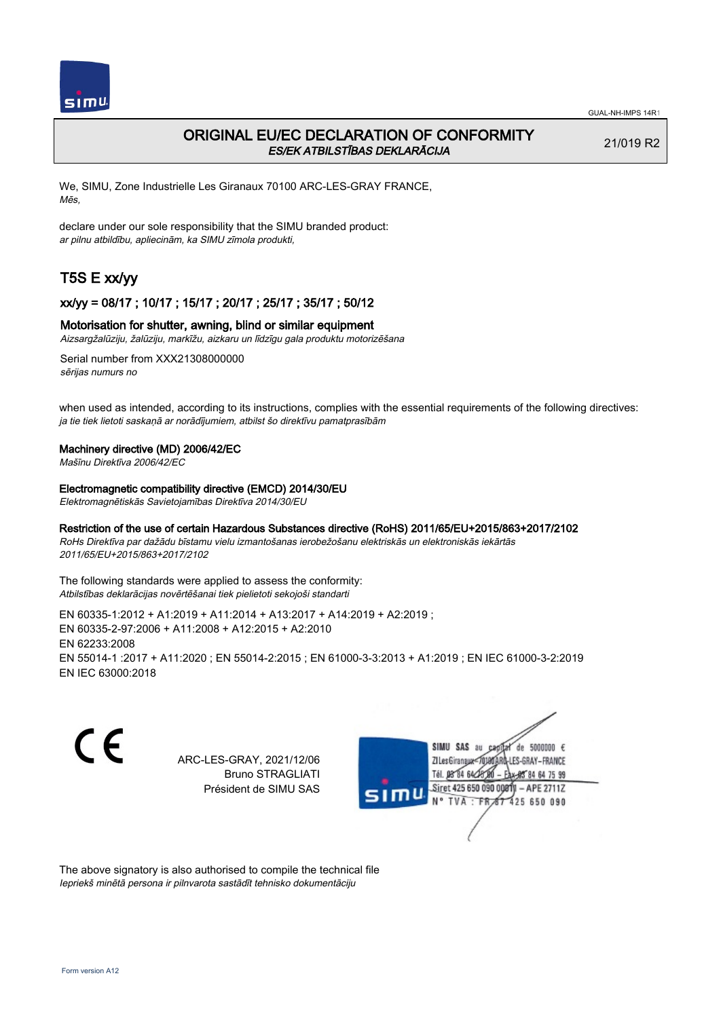

## ORIGINAL EU/EC DECLARATION OF CONFORMITY ES/EK ATBILSTĪBAS DEKLARĀCIJA

21/019 R2

We, SIMU, Zone Industrielle Les Giranaux 70100 ARC-LES-GRAY FRANCE, Mēs,

declare under our sole responsibility that the SIMU branded product: ar pilnu atbildību, apliecinām, ka SIMU zīmola produkti,

# T5S E xx/yy

### xx/yy = 08/17 ; 10/17 ; 15/17 ; 20/17 ; 25/17 ; 35/17 ; 50/12

### Motorisation for shutter, awning, blind or similar equipment

Aizsargžalūziju, žalūziju, markīžu, aizkaru un līdzīgu gala produktu motorizēšana

Serial number from XXX21308000000 sērijas numurs no

when used as intended, according to its instructions, complies with the essential requirements of the following directives: ja tie tiek lietoti saskaņā ar norādījumiem, atbilst šo direktīvu pamatprasībām

### Machinery directive (MD) 2006/42/EC

Mašīnu Direktīva 2006/42/EC

Electromagnetic compatibility directive (EMCD) 2014/30/EU

Elektromagnētiskās Savietojamības Direktīva 2014/30/EU

### Restriction of the use of certain Hazardous Substances directive (RoHS) 2011/65/EU+2015/863+2017/2102

RoHs Direktīva par dažādu bīstamu vielu izmantošanas ierobežošanu elektriskās un elektroniskās iekārtās 2011/65/EU+2015/863+2017/2102

The following standards were applied to assess the conformity: Atbilstības deklarācijas novērtēšanai tiek pielietoti sekojoši standarti

EN 60335‑1:2012 + A1:2019 + A11:2014 + A13:2017 + A14:2019 + A2:2019 ; EN 60335‑2‑97:2006 + A11:2008 + A12:2015 + A2:2010 EN 62233:2008 EN 55014‑1 :2017 + A11:2020 ; EN 55014‑2:2015 ; EN 61000‑3‑3:2013 + A1:2019 ; EN IEC 61000‑3‑2:2019 EN IEC 63000:2018

CE

ARC-LES-GRAY, 2021/12/06 Bruno STRAGLIATI Président de SIMU SAS



The above signatory is also authorised to compile the technical file Iepriekš minētā persona ir pilnvarota sastādīt tehnisko dokumentāciju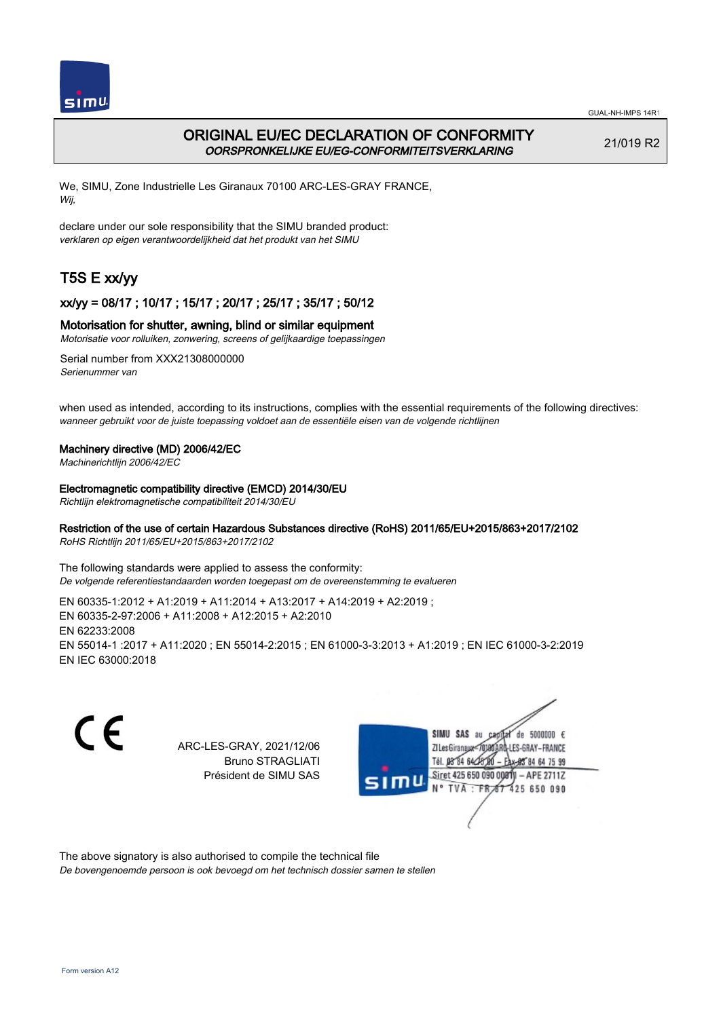

## ORIGINAL EU/EC DECLARATION OF CONFORMITY OORSPRONKELIJKE EU/EG-CONFORMITEITSVERKLARING

21/019 R2

We, SIMU, Zone Industrielle Les Giranaux 70100 ARC-LES-GRAY FRANCE, Wij,

declare under our sole responsibility that the SIMU branded product: verklaren op eigen verantwoordelijkheid dat het produkt van het SIMU

# T5S E xx/yy

### xx/yy = 08/17 ; 10/17 ; 15/17 ; 20/17 ; 25/17 ; 35/17 ; 50/12

### Motorisation for shutter, awning, blind or similar equipment

Motorisatie voor rolluiken, zonwering, screens of gelijkaardige toepassingen

Serial number from XXX21308000000 Serienummer van

when used as intended, according to its instructions, complies with the essential requirements of the following directives: wanneer gebruikt voor de juiste toepassing voldoet aan de essentiële eisen van de volgende richtlijnen

### Machinery directive (MD) 2006/42/EC

Machinerichtlijn 2006/42/EC

Electromagnetic compatibility directive (EMCD) 2014/30/EU

Richtlijn elektromagnetische compatibiliteit 2014/30/EU

### Restriction of the use of certain Hazardous Substances directive (RoHS) 2011/65/EU+2015/863+2017/2102

RoHS Richtlijn 2011/65/EU+2015/863+2017/2102

The following standards were applied to assess the conformity: De volgende referentiestandaarden worden toegepast om de overeenstemming te evalueren

EN 60335‑1:2012 + A1:2019 + A11:2014 + A13:2017 + A14:2019 + A2:2019 ; EN 60335‑2‑97:2006 + A11:2008 + A12:2015 + A2:2010 EN 62233:2008 EN 55014‑1 :2017 + A11:2020 ; EN 55014‑2:2015 ; EN 61000‑3‑3:2013 + A1:2019 ; EN IEC 61000‑3‑2:2019 EN IEC 63000:2018

C E SIMU SAS au ARC-LES-GRAY, 2021/12/06 Bruno STRAGLIATI Tél. 08 R4 64 2 Président de SIMU SAS



The above signatory is also authorised to compile the technical file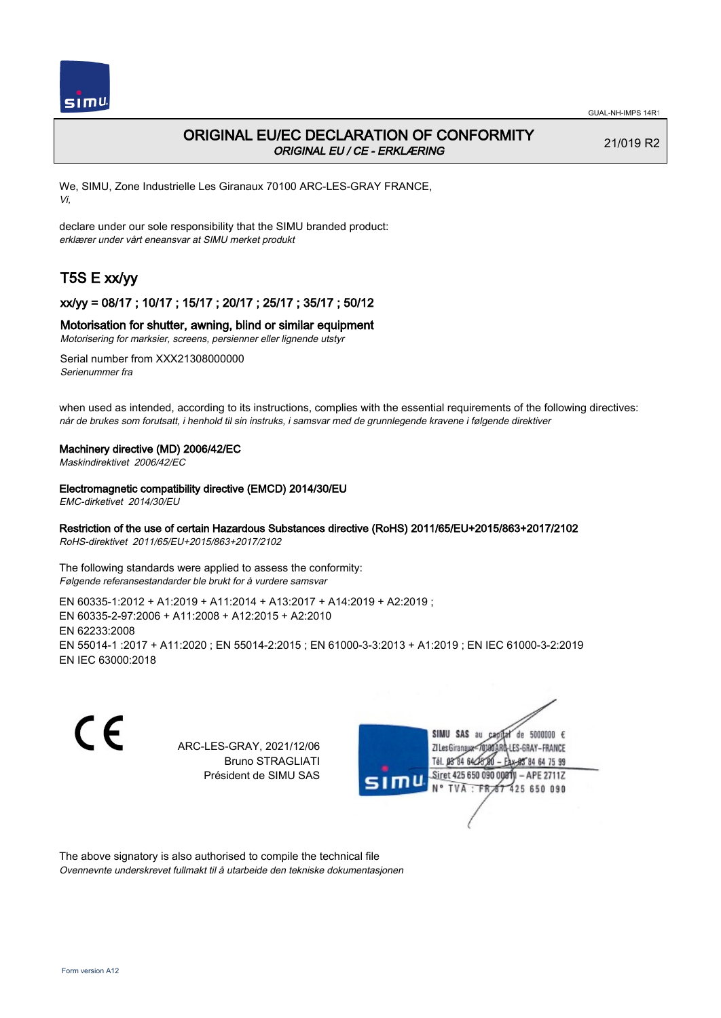

## ORIGINAL EU/EC DECLARATION OF CONFORMITY ORIGINAL EU / CE - ERKLÆRING

21/019 R2

We, SIMU, Zone Industrielle Les Giranaux 70100 ARC-LES-GRAY FRANCE, Vi,

declare under our sole responsibility that the SIMU branded product: erklærer under vårt eneansvar at SIMU merket produkt

# T5S E xx/yy

### xx/yy = 08/17 ; 10/17 ; 15/17 ; 20/17 ; 25/17 ; 35/17 ; 50/12

### Motorisation for shutter, awning, blind or similar equipment

Motorisering for marksier, screens, persienner eller lignende utstyr

Serial number from XXX21308000000 Serienummer fra

when used as intended, according to its instructions, complies with the essential requirements of the following directives: når de brukes som forutsatt, i henhold til sin instruks, i samsvar med de grunnlegende kravene i følgende direktiver

### Machinery directive (MD) 2006/42/EC

Maskindirektivet 2006/42/EC

### Electromagnetic compatibility directive (EMCD) 2014/30/EU

EMC-dirketivet 2014/30/EU

### Restriction of the use of certain Hazardous Substances directive (RoHS) 2011/65/EU+2015/863+2017/2102

RoHS-direktivet 2011/65/EU+2015/863+2017/2102

The following standards were applied to assess the conformity: Følgende referansestandarder ble brukt for å vurdere samsvar

EN 60335‑1:2012 + A1:2019 + A11:2014 + A13:2017 + A14:2019 + A2:2019 ; EN 60335‑2‑97:2006 + A11:2008 + A12:2015 + A2:2010 EN 62233:2008 EN 55014‑1 :2017 + A11:2020 ; EN 55014‑2:2015 ; EN 61000‑3‑3:2013 + A1:2019 ; EN IEC 61000‑3‑2:2019 EN IEC 63000:2018

C E

ARC-LES-GRAY, 2021/12/06 Bruno STRAGLIATI Président de SIMU SAS



The above signatory is also authorised to compile the technical file Ovennevnte underskrevet fullmakt til å utarbeide den tekniske dokumentasjonen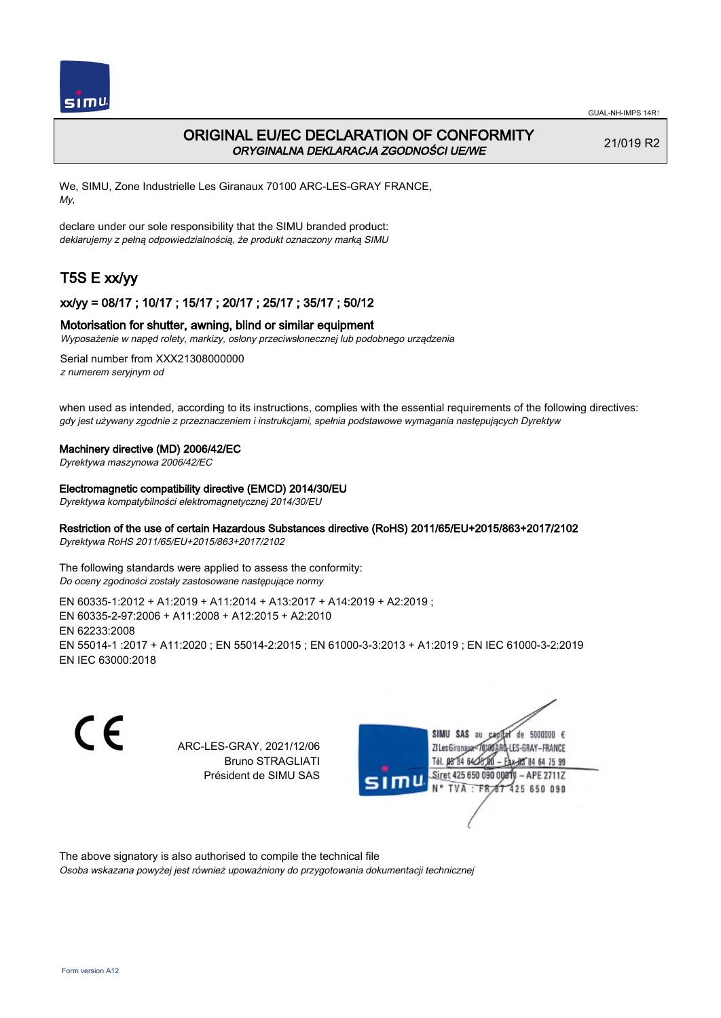

## ORIGINAL EU/EC DECLARATION OF CONFORMITY ORYGINALNA DEKLARACJA ZGODNOŚCI UE/WE

21/019 R2

We, SIMU, Zone Industrielle Les Giranaux 70100 ARC-LES-GRAY FRANCE, My,

declare under our sole responsibility that the SIMU branded product: deklarujemy z pełną odpowiedzialnością, że produkt oznaczony marką SIMU

# T5S E xx/yy

### xx/yy = 08/17 ; 10/17 ; 15/17 ; 20/17 ; 25/17 ; 35/17 ; 50/12

### Motorisation for shutter, awning, blind or similar equipment

Wyposażenie w napęd rolety, markizy, osłony przeciwsłonecznej lub podobnego urządzenia

Serial number from XXX21308000000 z numerem seryjnym od

when used as intended, according to its instructions, complies with the essential requirements of the following directives: gdy jest używany zgodnie z przeznaczeniem i instrukcjami, spełnia podstawowe wymagania następujących Dyrektyw

### Machinery directive (MD) 2006/42/EC

Dyrektywa maszynowa 2006/42/EC

### Electromagnetic compatibility directive (EMCD) 2014/30/EU

Dyrektywa kompatybilności elektromagnetycznej 2014/30/EU

### Restriction of the use of certain Hazardous Substances directive (RoHS) 2011/65/EU+2015/863+2017/2102

Dyrektywa RoHS 2011/65/EU+2015/863+2017/2102

The following standards were applied to assess the conformity: Do oceny zgodności zostały zastosowane następujące normy

EN 60335‑1:2012 + A1:2019 + A11:2014 + A13:2017 + A14:2019 + A2:2019 ; EN 60335‑2‑97:2006 + A11:2008 + A12:2015 + A2:2010 EN 62233:2008 EN 55014‑1 :2017 + A11:2020 ; EN 55014‑2:2015 ; EN 61000‑3‑3:2013 + A1:2019 ; EN IEC 61000‑3‑2:2019 EN IEC 63000:2018

C E

ARC-LES-GRAY, 2021/12/06 Bruno STRAGLIATI Président de SIMU SAS



The above signatory is also authorised to compile the technical file

Osoba wskazana powyżej jest również upoważniony do przygotowania dokumentacji technicznej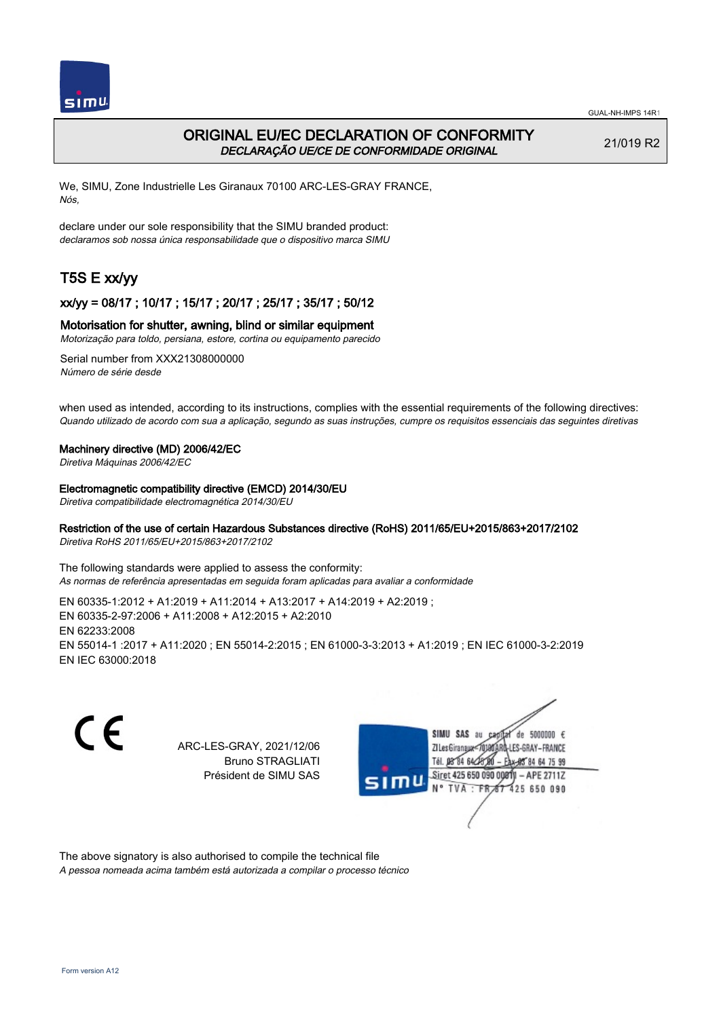

## ORIGINAL EU/EC DECLARATION OF CONFORMITY DECLARAÇÃO UE/CE DE CONFORMIDADE ORIGINAL

21/019 R2

We, SIMU, Zone Industrielle Les Giranaux 70100 ARC-LES-GRAY FRANCE, Nós,

declare under our sole responsibility that the SIMU branded product: declaramos sob nossa única responsabilidade que o dispositivo marca SIMU

# T5S E xx/yy

### xx/yy = 08/17 ; 10/17 ; 15/17 ; 20/17 ; 25/17 ; 35/17 ; 50/12

### Motorisation for shutter, awning, blind or similar equipment

Motorização para toldo, persiana, estore, cortina ou equipamento parecido

Serial number from XXX21308000000 Número de série desde

when used as intended, according to its instructions, complies with the essential requirements of the following directives: Quando utilizado de acordo com sua a aplicação, segundo as suas instruções, cumpre os requisitos essenciais das seguintes diretivas

### Machinery directive (MD) 2006/42/EC

Diretiva Máquinas 2006/42/EC

Electromagnetic compatibility directive (EMCD) 2014/30/EU

Diretiva compatibilidade electromagnética 2014/30/EU

### Restriction of the use of certain Hazardous Substances directive (RoHS) 2011/65/EU+2015/863+2017/2102

Diretiva RoHS 2011/65/EU+2015/863+2017/2102

The following standards were applied to assess the conformity: As normas de referência apresentadas em seguida foram aplicadas para avaliar a conformidade

EN 60335‑1:2012 + A1:2019 + A11:2014 + A13:2017 + A14:2019 + A2:2019 ; EN 60335‑2‑97:2006 + A11:2008 + A12:2015 + A2:2010 EN 62233:2008 EN 55014‑1 :2017 + A11:2020 ; EN 55014‑2:2015 ; EN 61000‑3‑3:2013 + A1:2019 ; EN IEC 61000‑3‑2:2019 EN IEC 63000:2018

C E SIMU SAS au  $de$  5000000  $f$ ARC-LES-GRAY, 2021/12/06 71 Les Giranaux<m10 LES-GRAY-FRANCE Bruno STRAGLIATI Tél. **DR R4 64-25** 64 75 99 Président de SIMU SAS Siret 425 650 090 0081  $-$  APE 2711Z TVA: FR 425 650 090

The above signatory is also authorised to compile the technical file A pessoa nomeada acima também está autorizada a compilar o processo técnico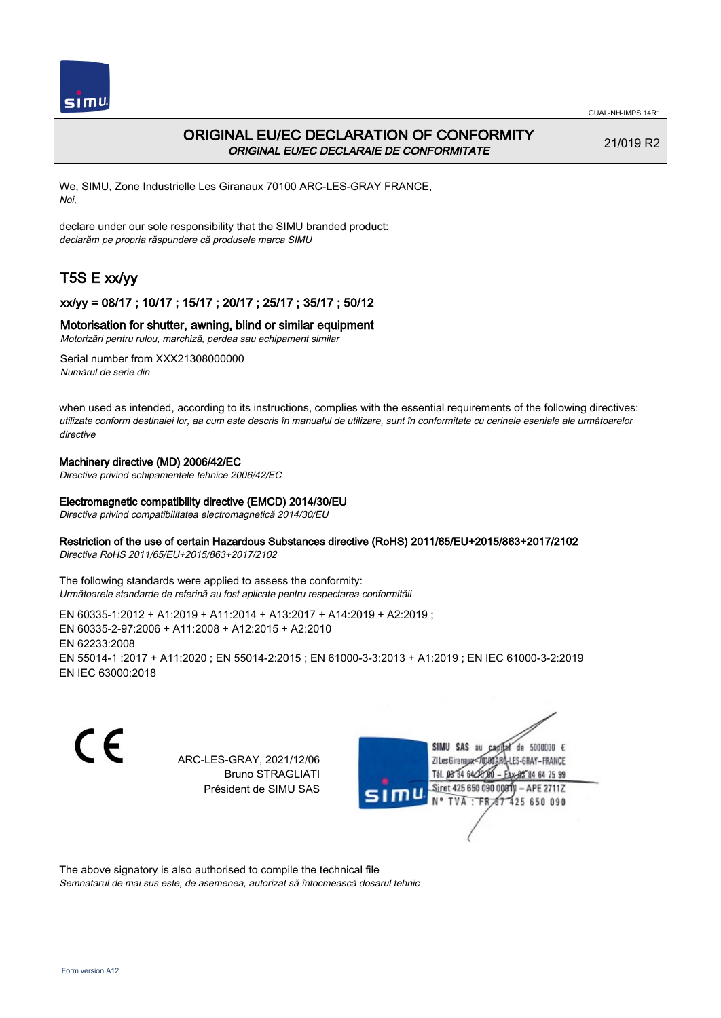

## ORIGINAL EU/EC DECLARATION OF CONFORMITY ORIGINAL EU/EC DECLARAIE DE CONFORMITATE

21/019 R2

We, SIMU, Zone Industrielle Les Giranaux 70100 ARC-LES-GRAY FRANCE, Noi,

declare under our sole responsibility that the SIMU branded product: declarăm pe propria răspundere că produsele marca SIMU

# T5S E xx/yy

## xx/yy = 08/17 ; 10/17 ; 15/17 ; 20/17 ; 25/17 ; 35/17 ; 50/12

### Motorisation for shutter, awning, blind or similar equipment

Motorizări pentru rulou, marchiză, perdea sau echipament similar

Serial number from XXX21308000000 Numărul de serie din

when used as intended, according to its instructions, complies with the essential requirements of the following directives: utilizate conform destinaiei lor, aa cum este descris în manualul de utilizare, sunt în conformitate cu cerinele eseniale ale următoarelor directive

### Machinery directive (MD) 2006/42/EC

Directiva privind echipamentele tehnice 2006/42/EC

### Electromagnetic compatibility directive (EMCD) 2014/30/EU

Directiva privind compatibilitatea electromagnetică 2014/30/EU

### Restriction of the use of certain Hazardous Substances directive (RoHS) 2011/65/EU+2015/863+2017/2102

Directiva RoHS 2011/65/EU+2015/863+2017/2102

The following standards were applied to assess the conformity: Următoarele standarde de referină au fost aplicate pentru respectarea conformităii

EN 60335‑1:2012 + A1:2019 + A11:2014 + A13:2017 + A14:2019 + A2:2019 ; EN 60335‑2‑97:2006 + A11:2008 + A12:2015 + A2:2010 EN 62233:2008 EN 55014‑1 :2017 + A11:2020 ; EN 55014‑2:2015 ; EN 61000‑3‑3:2013 + A1:2019 ; EN IEC 61000‑3‑2:2019 EN IEC 63000:2018

CE

ARC-LES-GRAY, 2021/12/06 Bruno STRAGLIATI Président de SIMU SAS



The above signatory is also authorised to compile the technical file

Semnatarul de mai sus este, de asemenea, autorizat să întocmească dosarul tehnic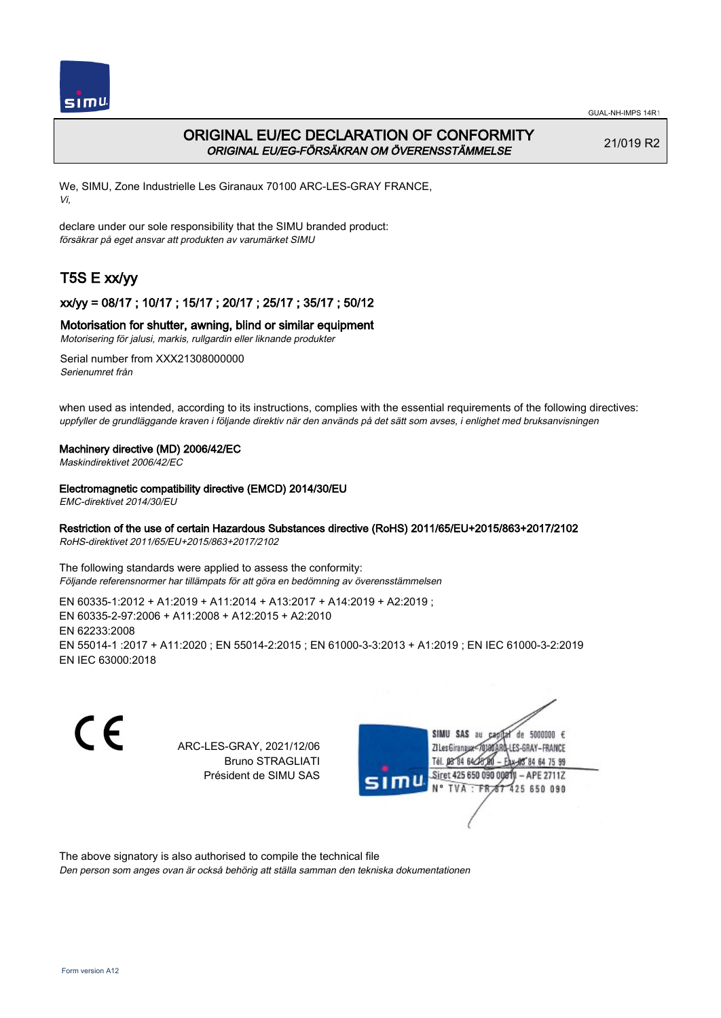

## ORIGINAL EU/EC DECLARATION OF CONFORMITY ORIGINAL EU/EG-FÖRSÄKRAN OM ÖVERENSSTÄMMELSE

21/019 R2

We, SIMU, Zone Industrielle Les Giranaux 70100 ARC-LES-GRAY FRANCE, Vi,

declare under our sole responsibility that the SIMU branded product: försäkrar på eget ansvar att produkten av varumärket SIMU

# T5S E xx/yy

## xx/yy = 08/17 ; 10/17 ; 15/17 ; 20/17 ; 25/17 ; 35/17 ; 50/12

### Motorisation for shutter, awning, blind or similar equipment

Motorisering för jalusi, markis, rullgardin eller liknande produkter

Serial number from XXX21308000000 Serienumret från

when used as intended, according to its instructions, complies with the essential requirements of the following directives: uppfyller de grundläggande kraven i följande direktiv när den används på det sätt som avses, i enlighet med bruksanvisningen

### Machinery directive (MD) 2006/42/EC

Maskindirektivet 2006/42/EC

### Electromagnetic compatibility directive (EMCD) 2014/30/EU

EMC-direktivet 2014/30/EU

### Restriction of the use of certain Hazardous Substances directive (RoHS) 2011/65/EU+2015/863+2017/2102

RoHS-direktivet 2011/65/EU+2015/863+2017/2102

The following standards were applied to assess the conformity: Följande referensnormer har tillämpats för att göra en bedömning av överensstämmelsen

EN 60335‑1:2012 + A1:2019 + A11:2014 + A13:2017 + A14:2019 + A2:2019 ; EN 60335‑2‑97:2006 + A11:2008 + A12:2015 + A2:2010 EN 62233:2008 EN 55014‑1 :2017 + A11:2020 ; EN 55014‑2:2015 ; EN 61000‑3‑3:2013 + A1:2019 ; EN IEC 61000‑3‑2:2019 EN IEC 63000:2018

C E SIMU SAS au ARC-LES-GRAY, 2021/12/06 71 les Giranaux</nux Bruno STRAGLIATI Tél. 08 84 64 2 Président de SIMU SAS Siret 425 650 090 0081 **TVA FR** 



The above signatory is also authorised to compile the technical file

Den person som anges ovan är också behörig att ställa samman den tekniska dokumentationen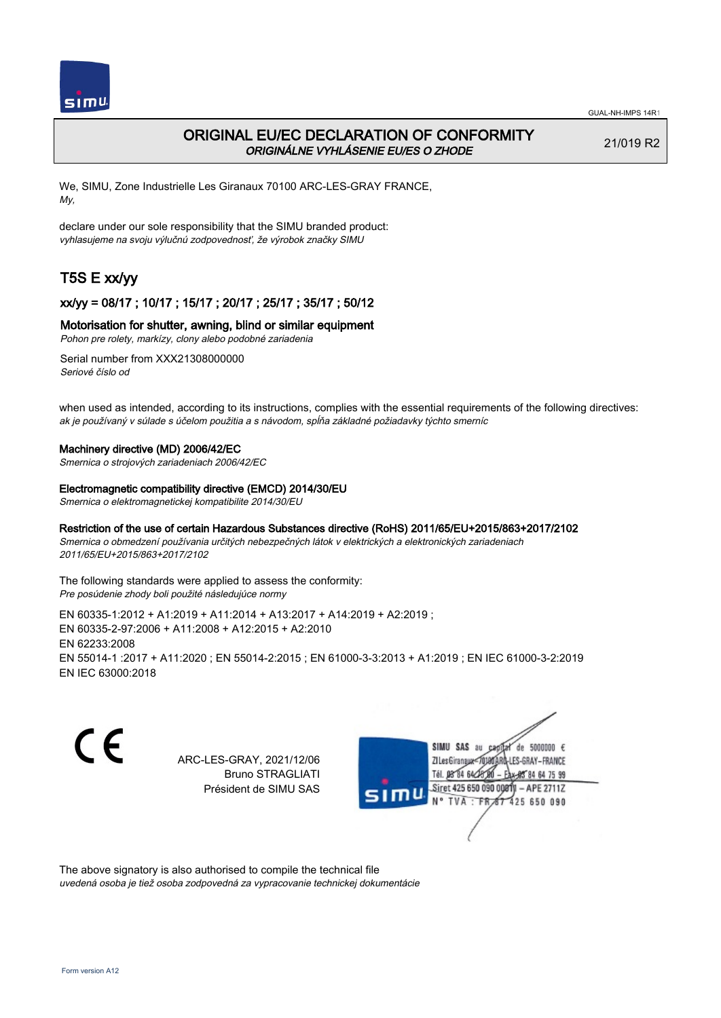

## ORIGINAL EU/EC DECLARATION OF CONFORMITY ORIGINÁLNE VYHLÁSENIE EU/ES O ZHODE

21/019 R2

We, SIMU, Zone Industrielle Les Giranaux 70100 ARC-LES-GRAY FRANCE, My,

declare under our sole responsibility that the SIMU branded product: vyhlasujeme na svoju výlučnú zodpovednosť, že výrobok značky SIMU

# T5S E xx/yy

### xx/yy = 08/17 ; 10/17 ; 15/17 ; 20/17 ; 25/17 ; 35/17 ; 50/12

### Motorisation for shutter, awning, blind or similar equipment

Pohon pre rolety, markízy, clony alebo podobné zariadenia

Serial number from XXX21308000000 Seriové číslo od

when used as intended, according to its instructions, complies with the essential requirements of the following directives: ak je používaný v súlade s účelom použitia a s návodom, spĺňa základné požiadavky týchto smerníc

#### Machinery directive (MD) 2006/42/EC

Smernica o strojových zariadeniach 2006/42/EC

#### Electromagnetic compatibility directive (EMCD) 2014/30/EU

Smernica o elektromagnetickej kompatibilite 2014/30/EU

### Restriction of the use of certain Hazardous Substances directive (RoHS) 2011/65/EU+2015/863+2017/2102

Smernica o obmedzení používania určitých nebezpečných látok v elektrických a elektronických zariadeniach 2011/65/EU+2015/863+2017/2102

The following standards were applied to assess the conformity: Pre posúdenie zhody boli použité následujúce normy

EN 60335‑1:2012 + A1:2019 + A11:2014 + A13:2017 + A14:2019 + A2:2019 ; EN 60335‑2‑97:2006 + A11:2008 + A12:2015 + A2:2010 EN 62233:2008 EN 55014‑1 :2017 + A11:2020 ; EN 55014‑2:2015 ; EN 61000‑3‑3:2013 + A1:2019 ; EN IEC 61000‑3‑2:2019 EN IEC 63000:2018

CE

ARC-LES-GRAY, 2021/12/06 Bruno STRAGLIATI Président de SIMU SAS



The above signatory is also authorised to compile the technical file

uvedená osoba je tiež osoba zodpovedná za vypracovanie technickej dokumentácie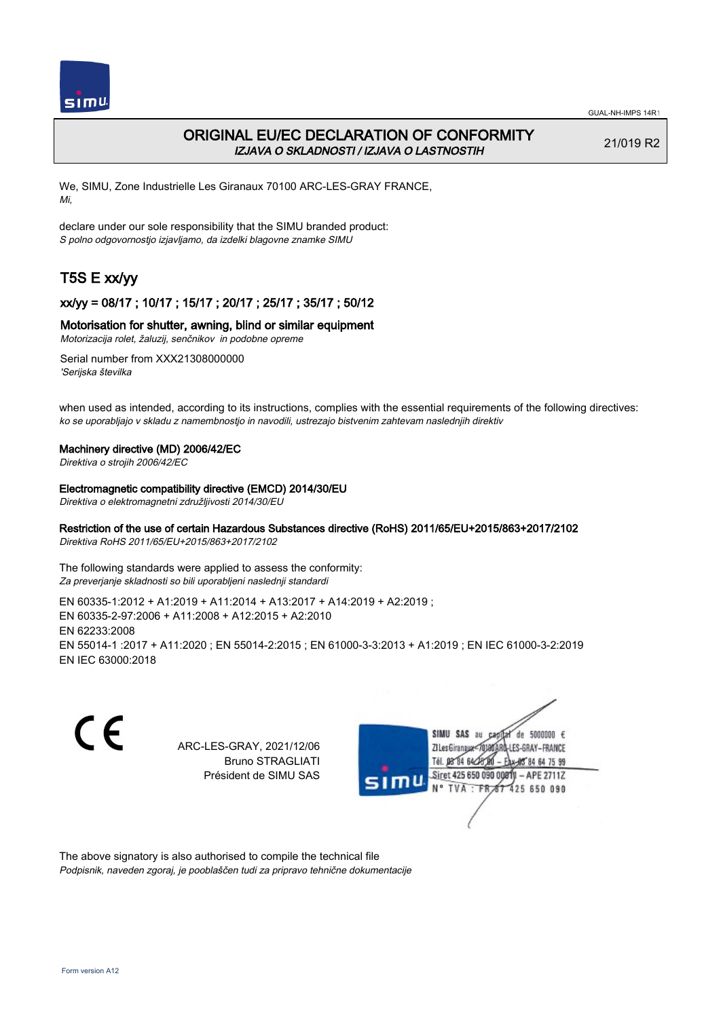

## ORIGINAL EU/EC DECLARATION OF CONFORMITY IZJAVA O SKLADNOSTI / IZJAVA O LASTNOSTIH

21/019 R2

We, SIMU, Zone Industrielle Les Giranaux 70100 ARC-LES-GRAY FRANCE, Mi,

declare under our sole responsibility that the SIMU branded product: S polno odgovornostjo izjavljamo, da izdelki blagovne znamke SIMU

# T5S E xx/yy

### xx/yy = 08/17 ; 10/17 ; 15/17 ; 20/17 ; 25/17 ; 35/17 ; 50/12

### Motorisation for shutter, awning, blind or similar equipment

Motorizacija rolet, žaluzij, senčnikov in podobne opreme

Serial number from XXX21308000000 'Serijska številka

when used as intended, according to its instructions, complies with the essential requirements of the following directives: ko se uporabljajo v skladu z namembnostjo in navodili, ustrezajo bistvenim zahtevam naslednjih direktiv

### Machinery directive (MD) 2006/42/EC

Direktiva o strojih 2006/42/EC

#### Electromagnetic compatibility directive (EMCD) 2014/30/EU

Direktiva o elektromagnetni združljivosti 2014/30/EU

### Restriction of the use of certain Hazardous Substances directive (RoHS) 2011/65/EU+2015/863+2017/2102

Direktiva RoHS 2011/65/EU+2015/863+2017/2102

The following standards were applied to assess the conformity: Za preverjanje skladnosti so bili uporabljeni naslednji standardi

EN 60335‑1:2012 + A1:2019 + A11:2014 + A13:2017 + A14:2019 + A2:2019 ; EN 60335‑2‑97:2006 + A11:2008 + A12:2015 + A2:2010 EN 62233:2008 EN 55014‑1 :2017 + A11:2020 ; EN 55014‑2:2015 ; EN 61000‑3‑3:2013 + A1:2019 ; EN IEC 61000‑3‑2:2019 EN IEC 63000:2018

C E

ARC-LES-GRAY, 2021/12/06 Bruno STRAGLIATI Président de SIMU SAS



The above signatory is also authorised to compile the technical file Podpisnik, naveden zgoraj, je pooblaščen tudi za pripravo tehnične dokumentacije